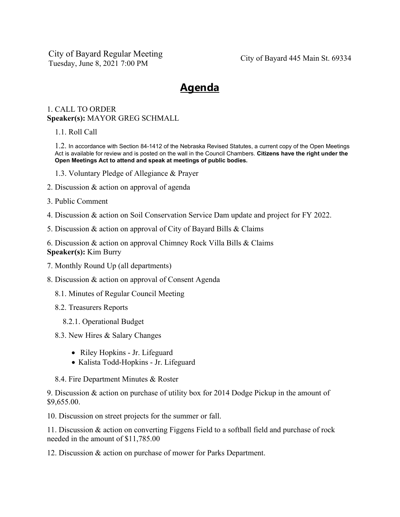City of Bayard Regular Meeting Tuesday, June 8, 2021 7:00 PM City of Bayard 445 Main St. 69334

## **Agenda**

## 1. CALL TO ORDER **Speaker(s):** MAYOR GREG SCHMALL

1.1. Roll Call

1.2. In accordance with Section 84-1412 of the Nebraska Revised Statutes, a current copy of the Open Meetings Act is available for review and is posted on the wall in the Council Chambers. **Citizens have the right under the Open Meetings Act to attend and speak at meetings of public bodies.**

- 1.3. Voluntary Pledge of Allegiance & Prayer
- 2. Discussion & action on approval of agenda
- 3. Public Comment
- 4. Discussion & action on Soil Conservation Service Dam update and project for FY 2022.
- 5. Discussion & action on approval of City of Bayard Bills & Claims
- 6. Discussion & action on approval Chimney Rock Villa Bills & Claims **Speaker(s):** Kim Burry
- 7. Monthly Round Up (all departments)
- 8. Discussion & action on approval of Consent Agenda
	- 8.1. Minutes of Regular Council Meeting
	- 8.2. Treasurers Reports
		- 8.2.1. Operational Budget
	- 8.3. New Hires & Salary Changes
		- Riley Hopkins Jr. Lifeguard
		- Kalista Todd-Hopkins Jr. Lifeguard
	- 8.4. Fire Department Minutes & Roster

9. Discussion & action on purchase of utility box for 2014 Dodge Pickup in the amount of \$9,655.00.

10. Discussion on street projects for the summer or fall.

11. Discussion & action on converting Figgens Field to a softball field and purchase of rock needed in the amount of \$11,785.00

12. Discussion & action on purchase of mower for Parks Department.